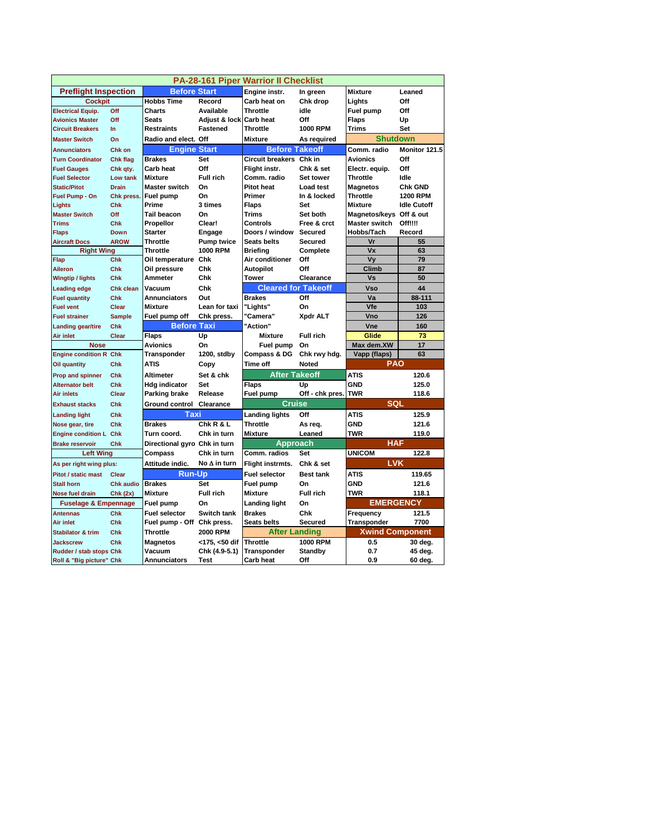| PA-28-161 Piper Warrior II Checklist |                  |                                    |                     |                            |                  |                         |                    |  |  |  |  |
|--------------------------------------|------------------|------------------------------------|---------------------|----------------------------|------------------|-------------------------|--------------------|--|--|--|--|
| <b>Preflight Inspection</b>          |                  | <b>Before Start</b>                |                     | Engine instr.              | In green         | <b>Mixture</b>          | Leaned             |  |  |  |  |
| <b>Cockpit</b>                       |                  | <b>Hobbs Time</b>                  | Record              | Carb heat on               | Chk drop         | Lights                  | Off                |  |  |  |  |
| <b>Electrical Equip.</b>             | Off              | Charts                             | Available           | <b>Throttle</b>            | idle             | Fuel pump               | Off                |  |  |  |  |
| <b>Avionics Master</b>               | Off              | <b>Seats</b>                       | Adjust & lock       | <b>Carb heat</b>           | Off              | <b>Flaps</b>            | Up                 |  |  |  |  |
| <b>Circuit Breakers</b>              | $\ln$            | <b>Restraints</b>                  | <b>Fastened</b>     | <b>Throttle</b>            | <b>1000 RPM</b>  | Trims                   | Set                |  |  |  |  |
| <b>Master Switch</b>                 | On               | Radio and elect. Off               |                     | <b>Mixture</b>             | As required      | <b>Shutdown</b>         |                    |  |  |  |  |
| <b>Annunciators</b>                  | Chk on           | <b>Engine Start</b>                |                     | <b>Before Takeoff</b>      |                  | Comm. radio             | Monitor 121.5      |  |  |  |  |
| <b>Turn Coordinator</b>              | Chk flag         | <b>Brakes</b>                      | Set                 | Circuit breakers Chk in    |                  | <b>Avionics</b>         | Off                |  |  |  |  |
| <b>Fuel Gauges</b>                   | Chk qty.         | Carb heat                          | Off                 | Flight instr.              | Chk & set        | Electr. equip.          | Off                |  |  |  |  |
| <b>Fuel Selector</b>                 | Low tank         | <b>Mixture</b>                     | <b>Full rich</b>    | Comm. radio                | Set tower        | Throttle                | Idle               |  |  |  |  |
| <b>Static/Pitot</b>                  | <b>Drain</b>     | <b>Master switch</b>               | On                  | <b>Pitot heat</b>          | <b>Load test</b> | <b>Magnetos</b>         | <b>Chk GND</b>     |  |  |  |  |
| Fuel Pump - On                       | Chk press.       | Fuel pump                          | On                  | Primer                     | In & locked      | Throttle                | <b>1200 RPM</b>    |  |  |  |  |
| Lights                               | Chk              | Prime                              | 3 times             | <b>Flaps</b>               | Set              | Mixture                 | <b>Idle Cutoff</b> |  |  |  |  |
| <b>Master Switch</b>                 | Off              | <b>Tail beacon</b>                 | On                  | <b>Trims</b>               | Set both         | Magnetos/keys Off & out |                    |  |  |  |  |
| <b>Trims</b>                         | <b>Chk</b>       | Propellor                          | Clear!              | Controls                   | Free & crct      | Master switch           | Off!!!!            |  |  |  |  |
| <b>Flaps</b>                         | <b>Down</b>      | <b>Starter</b>                     | Engage              | Doors / window             | Secured          | Hobbs/Tach              | Record             |  |  |  |  |
| <b>Aircraft Docs</b>                 | <b>AROW</b>      | <b>Throttle</b>                    | <b>Pump twice</b>   | <b>Seats belts</b>         | <b>Secured</b>   | Vr                      | 55                 |  |  |  |  |
| <b>Right Wing</b>                    |                  | <b>Throttle</b>                    | <b>1000 RPM</b>     | Briefina                   | Complete         | Vx                      | 63                 |  |  |  |  |
| Flap                                 | Chk              | Oil temperature Chk                |                     | Air conditioner            | Off              | Vy                      | 79                 |  |  |  |  |
| <b>Aileron</b>                       | Chk              | Oil pressure                       | Chk                 | Autopilot                  | Off              | Climb                   | 87                 |  |  |  |  |
| <b>Wingtip / lights</b>              | Chk              | Ammeter                            | Chk                 | <b>Tower</b>               | Clearance        | Vs                      | 50                 |  |  |  |  |
| <b>Leading edge</b>                  | <b>Chk clean</b> | Vacuum                             | Chk                 | <b>Cleared for Takeoff</b> |                  | <b>Vso</b>              | 44                 |  |  |  |  |
| <b>Fuel quantity</b>                 | <b>Chk</b>       | <b>Annunciators</b>                | Out                 | <b>Brakes</b>              | Off              | Va                      | 88-111             |  |  |  |  |
| <b>Fuel vent</b>                     | <b>Clear</b>     | <b>Mixture</b>                     | Lean for taxi       | "Lights"                   | On               | <b>Vfe</b>              | 103                |  |  |  |  |
| <b>Fuel strainer</b>                 | <b>Sample</b>    | Fuel pump off                      | Chk press.          | "Camera"                   | Xpdr ALT         | Vno                     | 126                |  |  |  |  |
| <b>Landing gear/tire</b>             | Chk              | <b>Before Taxi</b>                 |                     | "Action"                   |                  | <b>Vne</b>              | 160                |  |  |  |  |
| Air inlet                            | Clear            | <b>Flaps</b>                       | Up                  | Mixture                    | <b>Full rich</b> | Glide                   | 73                 |  |  |  |  |
| <b>Nose</b>                          |                  | <b>Avionics</b>                    | On                  | Fuel pump                  | On               | Max dem.XW              | 17                 |  |  |  |  |
| <b>Engine condition R Chk</b>        |                  | Transponder                        | 1200, stdby         | Compass & DG               | Chk rwy hdg.     | Vapp (flaps)            | 63                 |  |  |  |  |
| Oil quantity                         | Chk              | <b>ATIS</b>                        | Copy                | <b>Time off</b>            | Noted            | PAO                     |                    |  |  |  |  |
| <b>Prop and spinner</b>              | <b>Chk</b>       | Altimeter                          | Set & chk           | <b>After Takeoff</b>       |                  | <b>ATIS</b>             | 120.6              |  |  |  |  |
| <b>Alternator belt</b>               | Chk              | <b>Hdg indicator</b>               | Set                 | <b>Flaps</b>               | Up               | GND                     | 125.0              |  |  |  |  |
| Air inlets                           | Clear            | Parking brake                      | Release             | Fuel pump                  | Off - chk pres.  | <b>TWR</b>              | 118.6              |  |  |  |  |
| <b>Exhaust stacks</b>                | Chk              | <b>Ground control</b><br>Clearance |                     | <b>Cruise</b>              |                  | <b>SQL</b>              |                    |  |  |  |  |
| <b>Landing light</b>                 | Chk              | Taxi                               |                     | <b>Landing lights</b>      | Off              | ATIS                    | 125.9              |  |  |  |  |
| Nose gear, tire                      | Chk              | <b>Brakes</b>                      | Chk R & L           | <b>Throttle</b>            | As req.          | GND                     | 121.6              |  |  |  |  |
| <b>Engine condition L Chk</b>        |                  | Turn coord.                        | Chk in turn         | Mixture                    | Leaned           | TWR                     | 119.0              |  |  |  |  |
| <b>Brake reservoir</b>               | Chk              | Directional gyro Chk in turn       |                     | <b>Approach</b>            |                  | <b>HAF</b>              |                    |  |  |  |  |
| <b>Left Wing</b>                     |                  | Compass                            | Chk in turn         | Comm. radios               | Set              | <b>UNICOM</b>           | 122.8              |  |  |  |  |
| As per right wing plus:              |                  | Attitude indic.                    | No $\Delta$ in turn | Flight instrmts.           | Chk & set        | <b>LVK</b>              |                    |  |  |  |  |
| <b>Pitot / static mast</b>           | Clear            | <b>Run-Up</b>                      |                     | <b>Fuel selector</b>       | <b>Best tank</b> | ATIS                    | 119.65             |  |  |  |  |
| <b>Stall horn</b>                    | <b>Chk audio</b> | <b>Brakes</b>                      | Set                 | Fuel pump                  | On               | <b>GND</b>              | 121.6              |  |  |  |  |
| Nose fuel drain                      | Chk(2x)          | <b>Mixture</b>                     | <b>Full rich</b>    | <b>Mixture</b>             | <b>Full rich</b> | TWR                     | 118.1              |  |  |  |  |
| <b>Fuselage &amp; Empennage</b>      |                  | Fuel pump                          | On                  | Landing light              | On               | <b>EMERGENCY</b>        |                    |  |  |  |  |
| <b>Antennas</b>                      | Chk              | <b>Fuel selector</b>               | Switch tank         | <b>Brakes</b>              | Chk              | Frequency               | 121.5              |  |  |  |  |
| Air inlet                            | Chk              | Fuel pump - Off Chk press.         |                     | <b>Seats belts</b>         | <b>Secured</b>   | Transponder             | 7700               |  |  |  |  |
| <b>Stabilator &amp; trim</b>         | Chk              | <b>Throttle</b>                    | 2000 RPM            | After Landing              |                  | <b>Xwind Component</b>  |                    |  |  |  |  |
| <b>Jackscrew</b>                     | Chk              | <b>Magnetos</b>                    | <175, <50 dif       | <b>Throttle</b>            | <b>1000 RPM</b>  | 0.5                     | 30 deg.            |  |  |  |  |
| Rudder / stab stops Chk              |                  | Vacuum                             | Chk (4.9-5.1)       | Transponder                | <b>Standby</b>   | 0.7                     | 45 deg.            |  |  |  |  |
| Roll & "Big picture" Chk             |                  | Annunciators                       | Test                | Carb heat                  | Off              | 0.9                     | 60 deg.            |  |  |  |  |